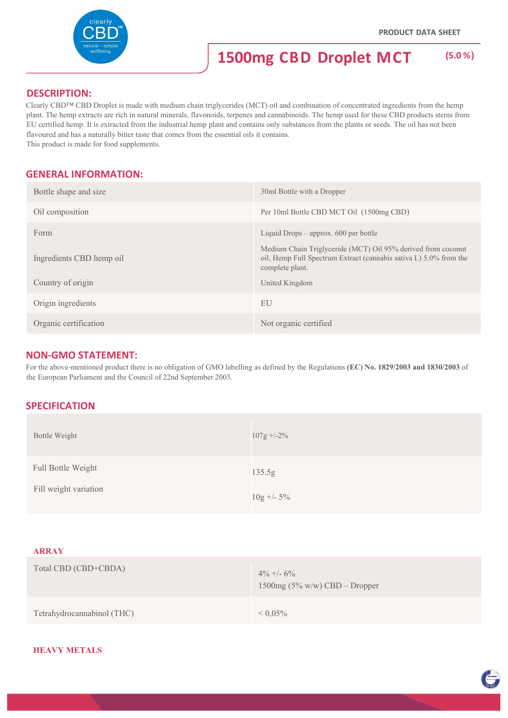

#### **DESCRIPTION:**

Clearly CBD™ CBD Droplet is made with medium chain triglycerides (MCT) oil and combination of concentrated ingredients from the hemp plant. The hemp extracts are rich in natural minerals, flavonoids, terpenes and cannabinoids. The hemp used for these CBD products stems from EU certified hemp. It is extracted from the industrial hemp plant and contains only substances from the plants or seeds. The oil has not been flavoured and has a naturally bitter taste that comes from the essential oils it contains. This product is made for food supplements.

### **GENERAL INFORMATION:**

| Bottle shape and size    | 30ml Bottle with a Dropper                                                                                                                           |
|--------------------------|------------------------------------------------------------------------------------------------------------------------------------------------------|
| Oil composition          | Per 10ml Bottle CBD MCT Oil (1500mg CBD)                                                                                                             |
| Form                     | Liquid Drops $-$ approx. 600 per bottle                                                                                                              |
| Ingredients CBD hemp oil | Medium Chain Triglyceride (MCT) Oil 95% derived from coconut<br>oil, Hemp Full Spectrum Extract (cannabis sativa L) 5.0% from the<br>complete plant. |
| Country of origin        | United Kingdom                                                                                                                                       |
| Origin ingredients       | EU                                                                                                                                                   |
| Organic certification    | Not organic certified                                                                                                                                |

#### **NON‐GMO STATEMENT:**

For the above-mentioned product there is no obligation of GMO labelling as defined by the Regulations **(EC) No. 1829/2003 and 1830/2003** of the European Parliament and the Council of 22nd September 2003.

#### **SPECIFICATION**

| <b>Bottle Weight</b>                        | $107g + -2\%$                                    |
|---------------------------------------------|--------------------------------------------------|
| Full Bottle Weight<br>Fill weight variation | 135.5g<br>$10g + -5\%$                           |
| <b>ARRAY</b>                                |                                                  |
| Total CBD (CBD+CBDA)                        | $4\% + -6\%$<br>$1500mg (5\% w/w)$ CBD – Dropper |

Tetrahydrocannabinol (THC) < 0,05%

#### **HEAVY METALS**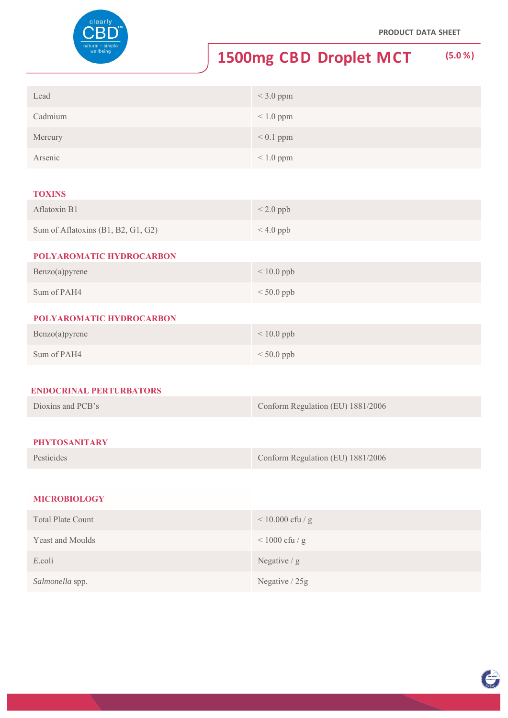

# **1500mg CBD Droplet MCT (5.0 %)**

| Lead    | $<$ 3.0 ppm    |
|---------|----------------|
| Cadmium | $< 1.0$ ppm    |
| Mercury | $< 0.1$ ppm    |
| Arsenic | $\leq 1.0$ ppm |

#### **TOXINS**

| Aflatoxin B1                       | $< 2.0$ ppb |
|------------------------------------|-------------|
| Sum of Aflatoxins (B1, B2, G1, G2) | $< 4.0$ ppb |
| POLYAROMATIC HYDROCARBON           |             |

| $Benzo(a)$ pyrene | $< 10.0$ ppb |
|-------------------|--------------|
| Sum of PAH4       | $< 50.0$ ppb |

#### **POLYAROMATIC HYDROCARBON**

| Benzo(a)pyrene | $< 10.0$ ppb |
|----------------|--------------|
| Sum of PAH4    | $< 50.0$ ppb |

#### **ENDOCRINAL PERTURBATORS**

| Dioxins and PCB's | Conform Regulation (EU) 1881/2006 |
|-------------------|-----------------------------------|
|                   |                                   |

## **PHYTOSANITARY**

| Pesticides | Conform Regulation (EU) 1881/2006 |
|------------|-----------------------------------|
|------------|-----------------------------------|

### **MICROBIOLOGY**

| <b>Total Plate Count</b> | $< 10.000$ cfu / g |
|--------------------------|--------------------|
| <b>Yeast and Moulds</b>  | $<$ 1000 cfu / g   |
| E.coli                   | Negative $/g$      |
| Salmonella spp.          | Negative / 25g     |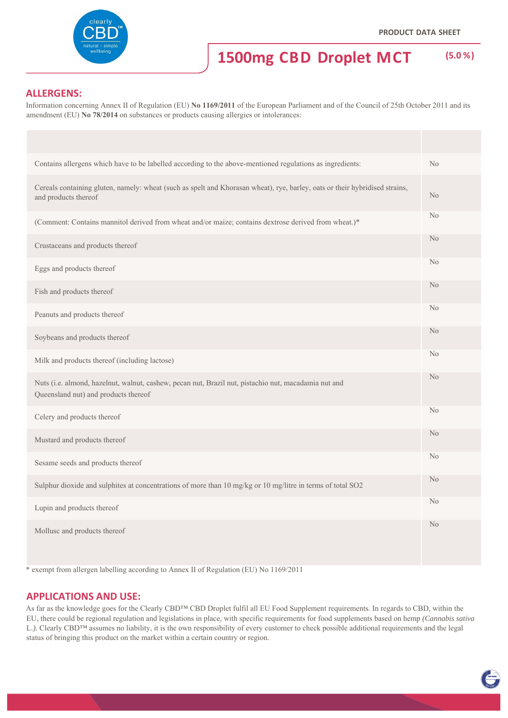

TOVING

## **1500mg CBD Droplet MCT (5.0 %)**

#### **ALLERGENS:**

Information concerning Annex II of Regulation (EU) **No 1169/2011** of the European Parliament and of the Council of 25th October 2011 and its amendment (EU) **No 78/2014** on substances or products causing allergies or intolerances:

| Contains allergens which have to be labelled according to the above-mentioned regulations as ingredients:                                           | No             |
|-----------------------------------------------------------------------------------------------------------------------------------------------------|----------------|
| Cereals containing gluten, namely: wheat (such as spelt and Khorasan wheat), rye, barley, oats or their hybridised strains,<br>and products thereof | N <sub>o</sub> |
| (Comment: Contains mannitol derived from wheat and/or maize; contains dextrose derived from wheat.)*                                                | No             |
| Crustaceans and products thereof                                                                                                                    | N <sub>o</sub> |
| Eggs and products thereof                                                                                                                           | N <sub>o</sub> |
| Fish and products thereof                                                                                                                           | N <sub>o</sub> |
| Peanuts and products thereof                                                                                                                        | N <sub>o</sub> |
| Soybeans and products thereof                                                                                                                       | N <sub>o</sub> |
| Milk and products thereof (including lactose)                                                                                                       | N <sub>o</sub> |
| Nuts (i.e. almond, hazelnut, walnut, cashew, pecan nut, Brazil nut, pistachio nut, macadamia nut and<br>Queensland nut) and products thereof        | N <sub>o</sub> |
| Celery and products thereof                                                                                                                         | N <sub>o</sub> |
| Mustard and products thereof                                                                                                                        | N <sub>o</sub> |
| Sesame seeds and products thereof                                                                                                                   | No             |
| Sulphur dioxide and sulphites at concentrations of more than 10 mg/kg or 10 mg/litre in terms of total SO2                                          | N <sub>o</sub> |
| Lupin and products thereof                                                                                                                          | N <sub>o</sub> |
| Mollusc and products thereof                                                                                                                        | No             |

\* exempt from allergen labelling according to Annex II of Regulation (EU) No 1169/2011

#### **APPLICATIONS AND USE:**

As far as the knowledge goes for the Clearly CBD™ CBD Droplet fulfil all EU Food Supplement requirements. In regards to CBD, within the EU, there could be regional regulation and legislations in place, with specific requirements for food supplements based on hemp *(Cannabis sativa*  L.). Clearly CBD™ assumes no liability, it is the own responsibility of every customer to check possible additional requirements and the legal status of bringing this product on the market within a certain country or region.